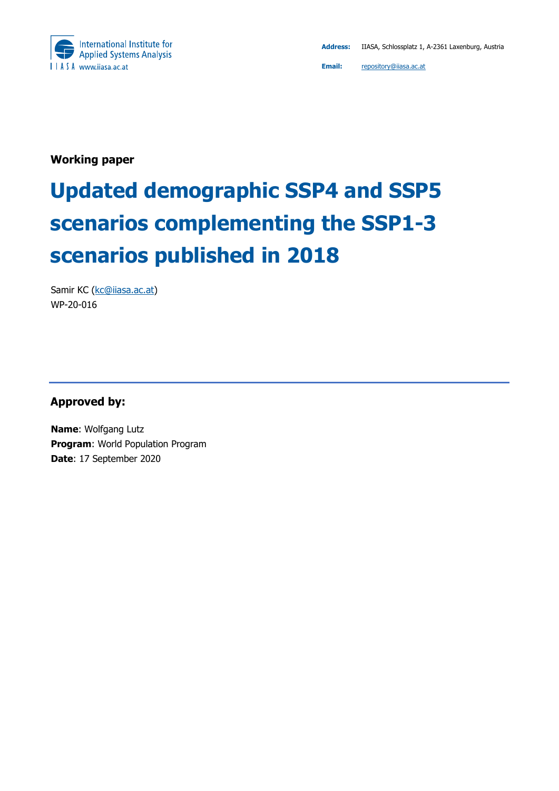

**Working paper** 

# **Updated demographic SSP4 and SSP5 scenarios complementing the SSP1-3 scenarios published in 2018**

Samir KC (kc@iiasa.ac.at) WP-20-016

**Approved by:** 

**Name**: Wolfgang Lutz **Program**: World Population Program **Date**: 17 September 2020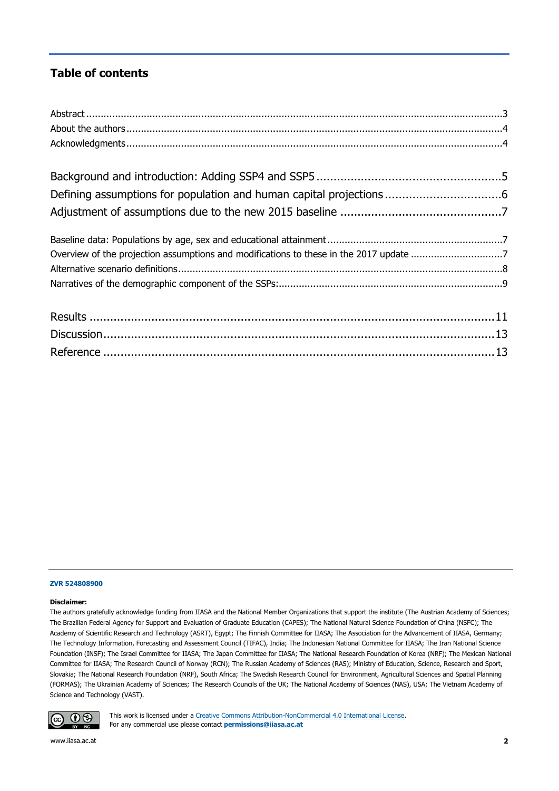#### **Table of contents**

| Overview of the projection assumptions and modifications to these in the 2017 update 7 |  |
|----------------------------------------------------------------------------------------|--|
|                                                                                        |  |
|                                                                                        |  |
|                                                                                        |  |
|                                                                                        |  |
|                                                                                        |  |

#### **ZVR 524808900**

#### **Disclaimer:**

The authors gratefully acknowledge funding from IIASA and the National Member Organizations that support the institute (The Austrian Academy of Sciences; The Brazilian Federal Agency for Support and Evaluation of Graduate Education (CAPES); The National Natural Science Foundation of China (NSFC); The Academy of Scientific Research and Technology (ASRT), Egypt; The Finnish Committee for IIASA; The Association for the Advancement of IIASA, Germany; The Technology Information, Forecasting and Assessment Council (TIFAC), India; The Indonesian National Committee for IIASA; The Iran National Science Foundation (INSF); The Israel Committee for IIASA; The Japan Committee for IIASA; The National Research Foundation of Korea (NRF); The Mexican National Committee for IIASA; The Research Council of Norway (RCN); The Russian Academy of Sciences (RAS); Ministry of Education, Science, Research and Sport, Slovakia; The National Research Foundation (NRF), South Africa; The Swedish Research Council for Environment, Agricultural Sciences and Spatial Planning (FORMAS); The Ukrainian Academy of Sciences; The Research Councils of the UK; The National Academy of Sciences (NAS), USA; The Vietnam Academy of Science and Technology (VAST).



This work is licensed under a Creative Commons Attribution-NonCommercial 4.0 International License. For any commercial use please contact **permissions@iiasa.ac.at**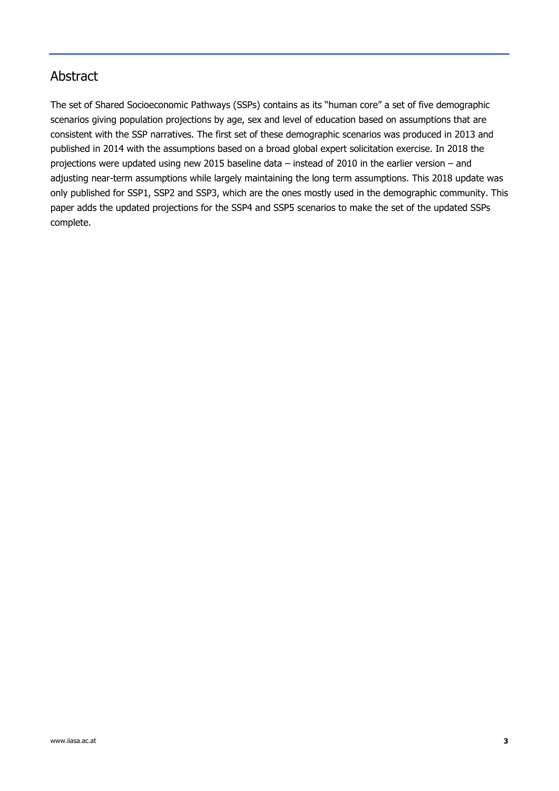### Abstract

The set of Shared Socioeconomic Pathways (SSPs) contains as its "human core" a set of five demographic scenarios giving population projections by age, sex and level of education based on assumptions that are consistent with the SSP narratives. The first set of these demographic scenarios was produced in 2013 and published in 2014 with the assumptions based on a broad global expert solicitation exercise. In 2018 the projections were updated using new 2015 baseline data – instead of 2010 in the earlier version – and adjusting near-term assumptions while largely maintaining the long term assumptions. This 2018 update was only published for SSP1, SSP2 and SSP3, which are the ones mostly used in the demographic community. This paper adds the updated projections for the SSP4 and SSP5 scenarios to make the set of the updated SSPs complete.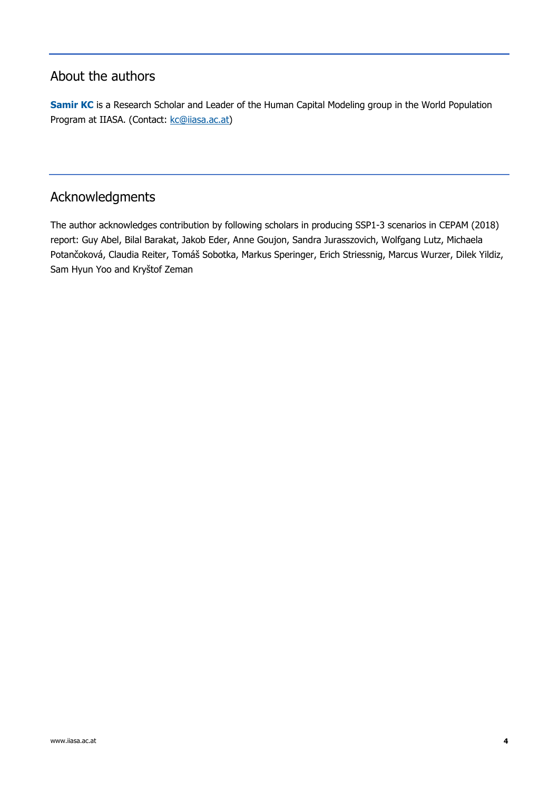### About the authors

**Samir KC** is a Research Scholar and Leader of the Human Capital Modeling group in the World Population Program at IIASA. (Contact: kc@iiasa.ac.at)

### Acknowledgments

The author acknowledges contribution by following scholars in producing SSP1-3 scenarios in CEPAM (2018) report: Guy Abel, Bilal Barakat, Jakob Eder, Anne Goujon, Sandra Jurasszovich, Wolfgang Lutz, Michaela Potančoková, Claudia Reiter, Tomáš Sobotka, Markus Speringer, Erich Striessnig, Marcus Wurzer, Dilek Yildiz, Sam Hyun Yoo and Kryštof Zeman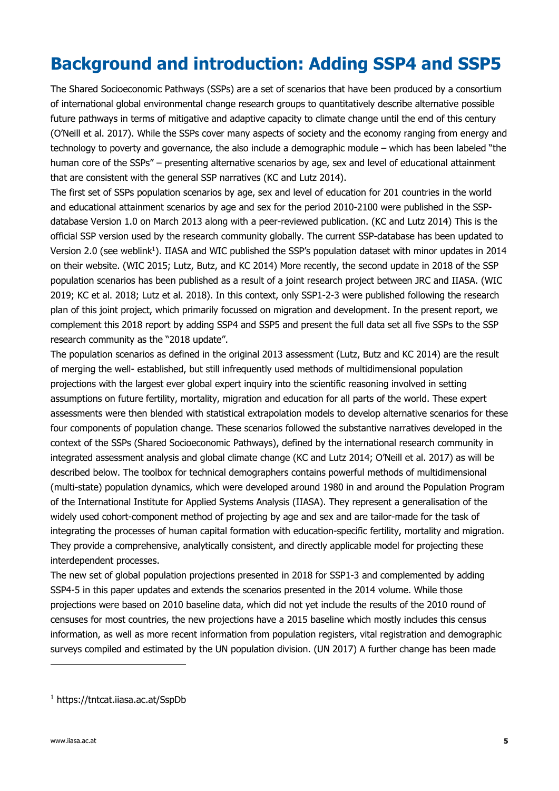# **Background and introduction: Adding SSP4 and SSP5**

The Shared Socioeconomic Pathways (SSPs) are a set of scenarios that have been produced by a consortium of international global environmental change research groups to quantitatively describe alternative possible future pathways in terms of mitigative and adaptive capacity to climate change until the end of this century (O'Neill et al. 2017). While the SSPs cover many aspects of society and the economy ranging from energy and technology to poverty and governance, the also include a demographic module – which has been labeled "the human core of the SSPs" – presenting alternative scenarios by age, sex and level of educational attainment that are consistent with the general SSP narratives (KC and Lutz 2014).

The first set of SSPs population scenarios by age, sex and level of education for 201 countries in the world and educational attainment scenarios by age and sex for the period 2010-2100 were published in the SSPdatabase Version 1.0 on March 2013 along with a peer-reviewed publication. (KC and Lutz 2014) This is the official SSP version used by the research community globally. The current SSP-database has been updated to Version 2.0 (see weblink<sup>1</sup>). IIASA and WIC published the SSP's population dataset with minor updates in 2014 on their website. (WIC 2015; Lutz, Butz, and KC 2014) More recently, the second update in 2018 of the SSP population scenarios has been published as a result of a joint research project between JRC and IIASA. (WIC 2019; KC et al. 2018; Lutz et al. 2018). In this context, only SSP1-2-3 were published following the research plan of this joint project, which primarily focussed on migration and development. In the present report, we complement this 2018 report by adding SSP4 and SSP5 and present the full data set all five SSPs to the SSP research community as the "2018 update".

The population scenarios as defined in the original 2013 assessment (Lutz, Butz and KC 2014) are the result of merging the well- established, but still infrequently used methods of multidimensional population projections with the largest ever global expert inquiry into the scientific reasoning involved in setting assumptions on future fertility, mortality, migration and education for all parts of the world. These expert assessments were then blended with statistical extrapolation models to develop alternative scenarios for these four components of population change. These scenarios followed the substantive narratives developed in the context of the SSPs (Shared Socioeconomic Pathways), defined by the international research community in integrated assessment analysis and global climate change (KC and Lutz 2014; O'Neill et al. 2017) as will be described below. The toolbox for technical demographers contains powerful methods of multidimensional (multi-state) population dynamics, which were developed around 1980 in and around the Population Program of the International Institute for Applied Systems Analysis (IIASA). They represent a generalisation of the widely used cohort-component method of projecting by age and sex and are tailor-made for the task of integrating the processes of human capital formation with education-specific fertility, mortality and migration. They provide a comprehensive, analytically consistent, and directly applicable model for projecting these interdependent processes.

The new set of global population projections presented in 2018 for SSP1-3 and complemented by adding SSP4-5 in this paper updates and extends the scenarios presented in the 2014 volume. While those projections were based on 2010 baseline data, which did not yet include the results of the 2010 round of censuses for most countries, the new projections have a 2015 baseline which mostly includes this census information, as well as more recent information from population registers, vital registration and demographic surveys compiled and estimated by the UN population division. (UN 2017) A further change has been made

<sup>1</sup> https://tntcat.iiasa.ac.at/SspDb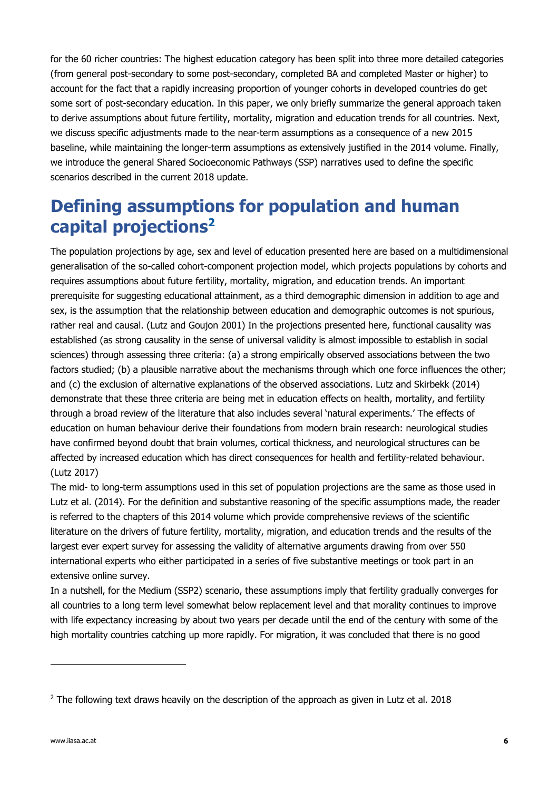for the 60 richer countries: The highest education category has been split into three more detailed categories (from general post-secondary to some post-secondary, completed BA and completed Master or higher) to account for the fact that a rapidly increasing proportion of younger cohorts in developed countries do get some sort of post-secondary education. In this paper, we only briefly summarize the general approach taken to derive assumptions about future fertility, mortality, migration and education trends for all countries. Next, we discuss specific adjustments made to the near-term assumptions as a consequence of a new 2015 baseline, while maintaining the longer-term assumptions as extensively justified in the 2014 volume. Finally, we introduce the general Shared Socioeconomic Pathways (SSP) narratives used to define the specific scenarios described in the current 2018 update.

# **Defining assumptions for population and human capital projections2**

The population projections by age, sex and level of education presented here are based on a multidimensional generalisation of the so-called cohort-component projection model, which projects populations by cohorts and requires assumptions about future fertility, mortality, migration, and education trends. An important prerequisite for suggesting educational attainment, as a third demographic dimension in addition to age and sex, is the assumption that the relationship between education and demographic outcomes is not spurious, rather real and causal. (Lutz and Goujon 2001) In the projections presented here, functional causality was established (as strong causality in the sense of universal validity is almost impossible to establish in social sciences) through assessing three criteria: (a) a strong empirically observed associations between the two factors studied; (b) a plausible narrative about the mechanisms through which one force influences the other; and (c) the exclusion of alternative explanations of the observed associations. Lutz and Skirbekk (2014) demonstrate that these three criteria are being met in education effects on health, mortality, and fertility through a broad review of the literature that also includes several 'natural experiments.' The effects of education on human behaviour derive their foundations from modern brain research: neurological studies have confirmed beyond doubt that brain volumes, cortical thickness, and neurological structures can be affected by increased education which has direct consequences for health and fertility-related behaviour. (Lutz 2017)

The mid- to long-term assumptions used in this set of population projections are the same as those used in Lutz et al. (2014). For the definition and substantive reasoning of the specific assumptions made, the reader is referred to the chapters of this 2014 volume which provide comprehensive reviews of the scientific literature on the drivers of future fertility, mortality, migration, and education trends and the results of the largest ever expert survey for assessing the validity of alternative arguments drawing from over 550 international experts who either participated in a series of five substantive meetings or took part in an extensive online survey.

In a nutshell, for the Medium (SSP2) scenario, these assumptions imply that fertility gradually converges for all countries to a long term level somewhat below replacement level and that morality continues to improve with life expectancy increasing by about two years per decade until the end of the century with some of the high mortality countries catching up more rapidly. For migration, it was concluded that there is no good

<sup>&</sup>lt;sup>2</sup> The following text draws heavily on the description of the approach as given in Lutz et al. 2018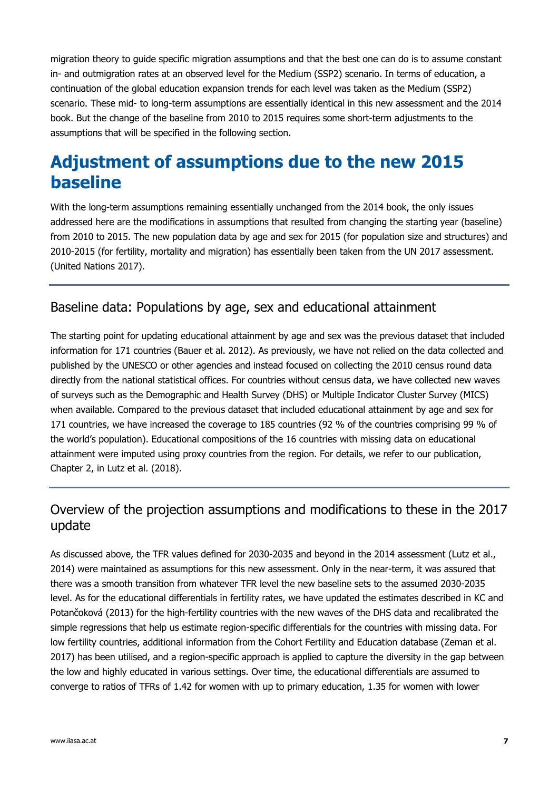migration theory to guide specific migration assumptions and that the best one can do is to assume constant in- and outmigration rates at an observed level for the Medium (SSP2) scenario. In terms of education, a continuation of the global education expansion trends for each level was taken as the Medium (SSP2) scenario. These mid- to long-term assumptions are essentially identical in this new assessment and the 2014 book. But the change of the baseline from 2010 to 2015 requires some short-term adjustments to the assumptions that will be specified in the following section.

### **Adjustment of assumptions due to the new 2015 baseline**

With the long-term assumptions remaining essentially unchanged from the 2014 book, the only issues addressed here are the modifications in assumptions that resulted from changing the starting year (baseline) from 2010 to 2015. The new population data by age and sex for 2015 (for population size and structures) and 2010-2015 (for fertility, mortality and migration) has essentially been taken from the UN 2017 assessment. (United Nations 2017).

### Baseline data: Populations by age, sex and educational attainment

The starting point for updating educational attainment by age and sex was the previous dataset that included information for 171 countries (Bauer et al. 2012). As previously, we have not relied on the data collected and published by the UNESCO or other agencies and instead focused on collecting the 2010 census round data directly from the national statistical offices. For countries without census data, we have collected new waves of surveys such as the Demographic and Health Survey (DHS) or Multiple Indicator Cluster Survey (MICS) when available. Compared to the previous dataset that included educational attainment by age and sex for 171 countries, we have increased the coverage to 185 countries (92 % of the countries comprising 99 % of the world's population). Educational compositions of the 16 countries with missing data on educational attainment were imputed using proxy countries from the region. For details, we refer to our publication, Chapter 2, in Lutz et al. (2018).

### Overview of the projection assumptions and modifications to these in the 2017 update

As discussed above, the TFR values defined for 2030-2035 and beyond in the 2014 assessment (Lutz et al., 2014) were maintained as assumptions for this new assessment. Only in the near-term, it was assured that there was a smooth transition from whatever TFR level the new baseline sets to the assumed 2030-2035 level. As for the educational differentials in fertility rates, we have updated the estimates described in KC and Potančoková (2013) for the high-fertility countries with the new waves of the DHS data and recalibrated the simple regressions that help us estimate region-specific differentials for the countries with missing data. For low fertility countries, additional information from the Cohort Fertility and Education database (Zeman et al. 2017) has been utilised, and a region-specific approach is applied to capture the diversity in the gap between the low and highly educated in various settings. Over time, the educational differentials are assumed to converge to ratios of TFRs of 1.42 for women with up to primary education, 1.35 for women with lower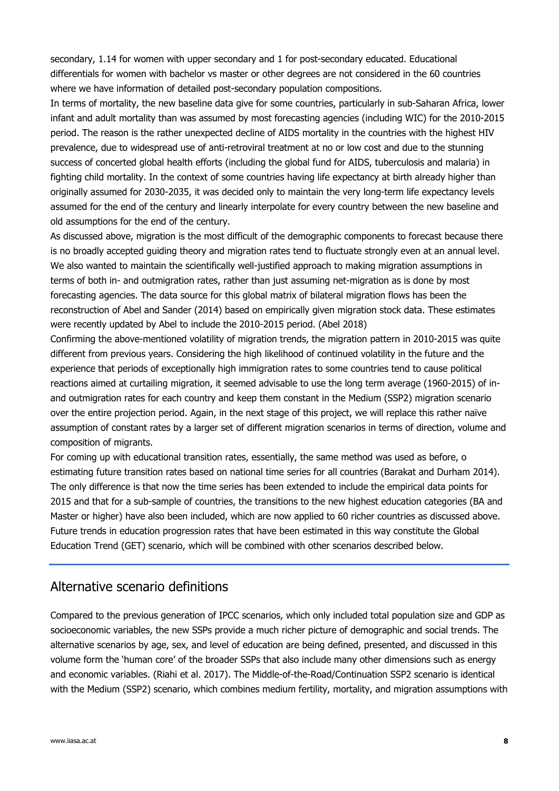secondary, 1.14 for women with upper secondary and 1 for post-secondary educated. Educational differentials for women with bachelor vs master or other degrees are not considered in the 60 countries where we have information of detailed post-secondary population compositions.

In terms of mortality, the new baseline data give for some countries, particularly in sub-Saharan Africa, lower infant and adult mortality than was assumed by most forecasting agencies (including WIC) for the 2010-2015 period. The reason is the rather unexpected decline of AIDS mortality in the countries with the highest HIV prevalence, due to widespread use of anti-retroviral treatment at no or low cost and due to the stunning success of concerted global health efforts (including the global fund for AIDS, tuberculosis and malaria) in fighting child mortality. In the context of some countries having life expectancy at birth already higher than originally assumed for 2030-2035, it was decided only to maintain the very long-term life expectancy levels assumed for the end of the century and linearly interpolate for every country between the new baseline and old assumptions for the end of the century.

As discussed above, migration is the most difficult of the demographic components to forecast because there is no broadly accepted guiding theory and migration rates tend to fluctuate strongly even at an annual level. We also wanted to maintain the scientifically well-justified approach to making migration assumptions in terms of both in- and outmigration rates, rather than just assuming net-migration as is done by most forecasting agencies. The data source for this global matrix of bilateral migration flows has been the reconstruction of Abel and Sander (2014) based on empirically given migration stock data. These estimates were recently updated by Abel to include the 2010-2015 period. (Abel 2018)

Confirming the above-mentioned volatility of migration trends, the migration pattern in 2010-2015 was quite different from previous years. Considering the high likelihood of continued volatility in the future and the experience that periods of exceptionally high immigration rates to some countries tend to cause political reactions aimed at curtailing migration, it seemed advisable to use the long term average (1960-2015) of inand outmigration rates for each country and keep them constant in the Medium (SSP2) migration scenario over the entire projection period. Again, in the next stage of this project, we will replace this rather naïve assumption of constant rates by a larger set of different migration scenarios in terms of direction, volume and composition of migrants.

For coming up with educational transition rates, essentially, the same method was used as before, o estimating future transition rates based on national time series for all countries (Barakat and Durham 2014). The only difference is that now the time series has been extended to include the empirical data points for 2015 and that for a sub-sample of countries, the transitions to the new highest education categories (BA and Master or higher) have also been included, which are now applied to 60 richer countries as discussed above. Future trends in education progression rates that have been estimated in this way constitute the Global Education Trend (GET) scenario, which will be combined with other scenarios described below.

#### Alternative scenario definitions

Compared to the previous generation of IPCC scenarios, which only included total population size and GDP as socioeconomic variables, the new SSPs provide a much richer picture of demographic and social trends. The alternative scenarios by age, sex, and level of education are being defined, presented, and discussed in this volume form the 'human core' of the broader SSPs that also include many other dimensions such as energy and economic variables. (Riahi et al. 2017). The Middle-of-the-Road/Continuation SSP2 scenario is identical with the Medium (SSP2) scenario, which combines medium fertility, mortality, and migration assumptions with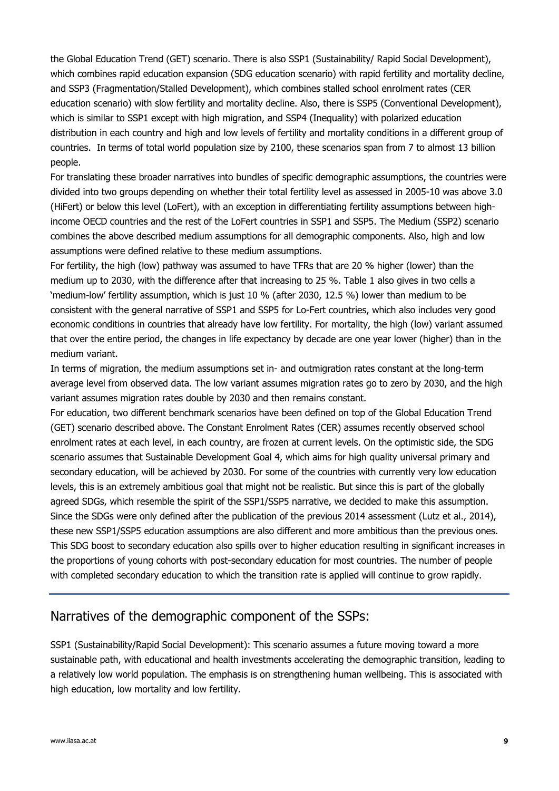the Global Education Trend (GET) scenario. There is also SSP1 (Sustainability/ Rapid Social Development), which combines rapid education expansion (SDG education scenario) with rapid fertility and mortality decline, and SSP3 (Fragmentation/Stalled Development), which combines stalled school enrolment rates (CER education scenario) with slow fertility and mortality decline. Also, there is SSP5 (Conventional Development), which is similar to SSP1 except with high migration, and SSP4 (Inequality) with polarized education distribution in each country and high and low levels of fertility and mortality conditions in a different group of countries. In terms of total world population size by 2100, these scenarios span from 7 to almost 13 billion people.

For translating these broader narratives into bundles of specific demographic assumptions, the countries were divided into two groups depending on whether their total fertility level as assessed in 2005-10 was above 3.0 (HiFert) or below this level (LoFert), with an exception in differentiating fertility assumptions between highincome OECD countries and the rest of the LoFert countries in SSP1 and SSP5. The Medium (SSP2) scenario combines the above described medium assumptions for all demographic components. Also, high and low assumptions were defined relative to these medium assumptions.

For fertility, the high (low) pathway was assumed to have TFRs that are 20 % higher (lower) than the medium up to 2030, with the difference after that increasing to 25 %. Table 1 also gives in two cells a 'medium-low' fertility assumption, which is just 10 % (after 2030, 12.5 %) lower than medium to be consistent with the general narrative of SSP1 and SSP5 for Lo-Fert countries, which also includes very good economic conditions in countries that already have low fertility. For mortality, the high (low) variant assumed that over the entire period, the changes in life expectancy by decade are one year lower (higher) than in the medium variant.

In terms of migration, the medium assumptions set in- and outmigration rates constant at the long-term average level from observed data. The low variant assumes migration rates go to zero by 2030, and the high variant assumes migration rates double by 2030 and then remains constant.

For education, two different benchmark scenarios have been defined on top of the Global Education Trend (GET) scenario described above. The Constant Enrolment Rates (CER) assumes recently observed school enrolment rates at each level, in each country, are frozen at current levels. On the optimistic side, the SDG scenario assumes that Sustainable Development Goal 4, which aims for high quality universal primary and secondary education, will be achieved by 2030. For some of the countries with currently very low education levels, this is an extremely ambitious goal that might not be realistic. But since this is part of the globally agreed SDGs, which resemble the spirit of the SSP1/SSP5 narrative, we decided to make this assumption. Since the SDGs were only defined after the publication of the previous 2014 assessment (Lutz et al., 2014), these new SSP1/SSP5 education assumptions are also different and more ambitious than the previous ones. This SDG boost to secondary education also spills over to higher education resulting in significant increases in the proportions of young cohorts with post-secondary education for most countries. The number of people with completed secondary education to which the transition rate is applied will continue to grow rapidly.

#### Narratives of the demographic component of the SSPs:

SSP1 (Sustainability/Rapid Social Development): This scenario assumes a future moving toward a more sustainable path, with educational and health investments accelerating the demographic transition, leading to a relatively low world population. The emphasis is on strengthening human wellbeing. This is associated with high education, low mortality and low fertility.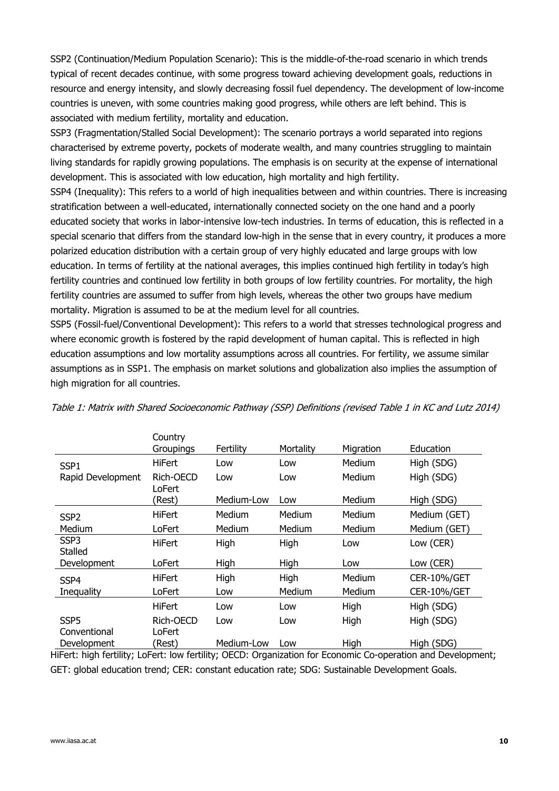SSP2 (Continuation/Medium Population Scenario): This is the middle-of-the-road scenario in which trends typical of recent decades continue, with some progress toward achieving development goals, reductions in resource and energy intensity, and slowly decreasing fossil fuel dependency. The development of low-income countries is uneven, with some countries making good progress, while others are left behind. This is associated with medium fertility, mortality and education.

SSP3 (Fragmentation/Stalled Social Development): The scenario portrays a world separated into regions characterised by extreme poverty, pockets of moderate wealth, and many countries struggling to maintain living standards for rapidly growing populations. The emphasis is on security at the expense of international development. This is associated with low education, high mortality and high fertility.

SSP4 (Inequality): This refers to a world of high inequalities between and within countries. There is increasing stratification between a well-educated, internationally connected society on the one hand and a poorly educated society that works in labor-intensive low-tech industries. In terms of education, this is reflected in a special scenario that differs from the standard low-high in the sense that in every country, it produces a more polarized education distribution with a certain group of very highly educated and large groups with low education. In terms of fertility at the national averages, this implies continued high fertility in today's high fertility countries and continued low fertility in both groups of low fertility countries. For mortality, the high fertility countries are assumed to suffer from high levels, whereas the other two groups have medium mortality. Migration is assumed to be at the medium level for all countries.

SSP5 (Fossil-fuel/Conventional Development): This refers to a world that stresses technological progress and where economic growth is fostered by the rapid development of human capital. This is reflected in high education assumptions and low mortality assumptions across all countries. For fertility, we assume similar assumptions as in SSP1. The emphasis on market solutions and globalization also implies the assumption of high migration for all countries.

|                                                                           | Country<br>Groupings | Fertility  | Mortality | Migration                    | Education          |
|---------------------------------------------------------------------------|----------------------|------------|-----------|------------------------------|--------------------|
| SSP1                                                                      | <b>HiFert</b>        | Low        | Low       | Medium                       | High (SDG)         |
| Rapid Development                                                         | Rich-OECD<br>LoFert  | Low        | Low       | Medium                       | High (SDG)         |
|                                                                           | (Rest)               | Medium-Low | Low       | Medium                       | High (SDG)         |
| SSP <sub>2</sub>                                                          | HiFert               | Medium     | Medium    | Medium                       | Medium (GET)       |
| Medium                                                                    | LoFert               | Medium     | Medium    | Medium                       | Medium (GET)       |
| SSP <sub>3</sub><br>Stalled                                               | <b>HiFert</b>        | High       | High      | Low                          | Low (CER)          |
| Development                                                               | LoFert               | High       | High      | Low                          | Low (CER)          |
| SSP4                                                                      | HiFert               | High       | High      | Medium                       | <b>CER-10%/GET</b> |
| Inequality                                                                | LoFert               | Low        | Medium    | Medium                       | <b>CER-10%/GET</b> |
|                                                                           | <b>HiFert</b>        | Low        | Low       | High                         | High (SDG)         |
| SSP <sub>5</sub>                                                          | Rich-OECD            | Low        | Low       | High                         | High (SDG)         |
| Conventional                                                              | LoFert               |            |           |                              |                    |
| Development<br>BELL, L'EL CERDIN I LELIN LES CERDIN AFAR. ASSESSENT L'ELL | (Rest)               | Medium-Low | Low       | High<br>$\sim$ $\sim$ $\sim$ | High (SDG)         |

Table 1: Matrix with Shared Socioeconomic Pathway (SSP) Definitions (revised Table 1 in KC and Lutz 2014)

HiFert: high fertility; LoFert: low fertility; OECD: Organization for Economic Co-operation and Development; GET: global education trend; CER: constant education rate; SDG: Sustainable Development Goals.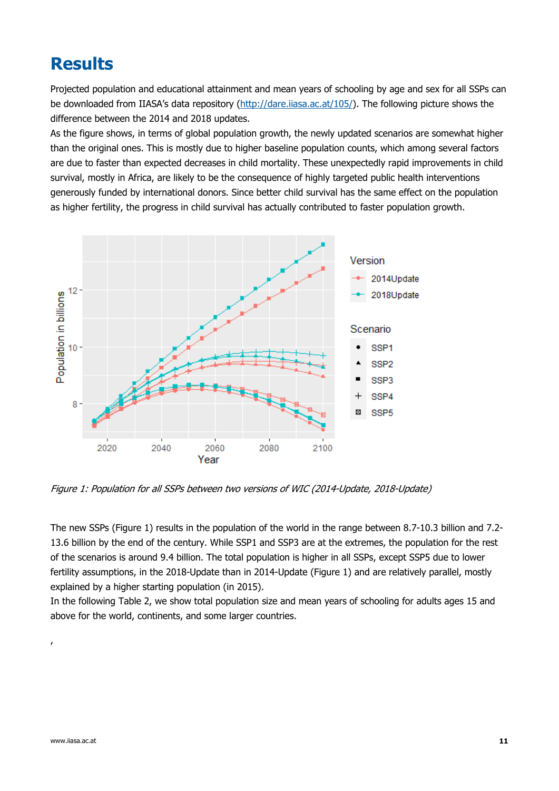### **Results**

Projected population and educational attainment and mean years of schooling by age and sex for all SSPs can be downloaded from IIASA's data repository (http://dare.iiasa.ac.at/105/). The following picture shows the difference between the 2014 and 2018 updates.

As the figure shows, in terms of global population growth, the newly updated scenarios are somewhat higher than the original ones. This is mostly due to higher baseline population counts, which among several factors are due to faster than expected decreases in child mortality. These unexpectedly rapid improvements in child survival, mostly in Africa, are likely to be the consequence of highly targeted public health interventions generously funded by international donors. Since better child survival has the same effect on the population as higher fertility, the progress in child survival has actually contributed to faster population growth.



Figure 1: Population for all SSPs between two versions of WIC (2014-Update, 2018-Update)

The new SSPs (Figure 1) results in the population of the world in the range between 8.7-10.3 billion and 7.2- 13.6 billion by the end of the century. While SSP1 and SSP3 are at the extremes, the population for the rest of the scenarios is around 9.4 billion. The total population is higher in all SSPs, except SSP5 due to lower fertility assumptions, in the 2018-Update than in 2014-Update (Figure 1) and are relatively parallel, mostly explained by a higher starting population (in 2015).

In the following Table 2, we show total population size and mean years of schooling for adults ages 15 and above for the world, continents, and some larger countries.

,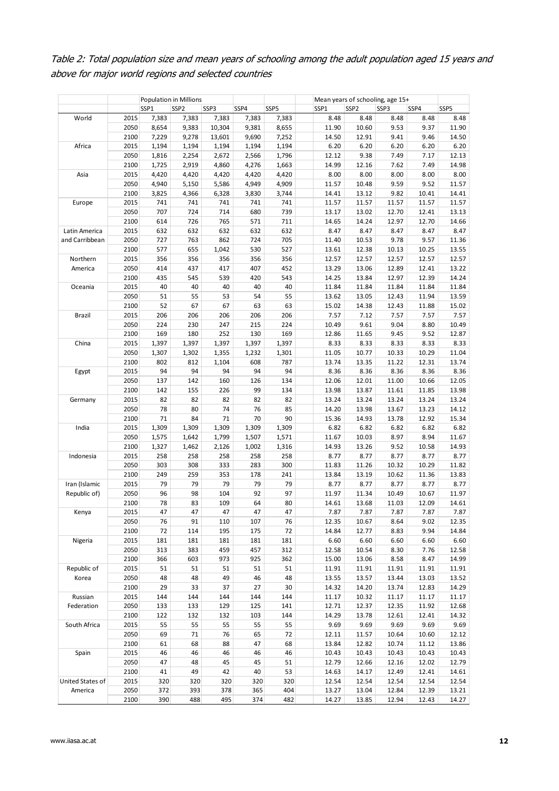Table 2: Total population size and mean years of schooling among the adult population aged 15 years and above for major world regions and selected countries

|                                 |      | Population in Millions<br>Mean years of schooling, age 15+ |                  |        |       |       |       |                  |       |       |       |
|---------------------------------|------|------------------------------------------------------------|------------------|--------|-------|-------|-------|------------------|-------|-------|-------|
|                                 |      | SSP1                                                       | SSP <sub>2</sub> | SSP3   | SSP4  | SSP5  | SSP1  | SSP <sub>2</sub> | SSP3  | SSP4  | SSP5  |
| World                           | 2015 | 7,383                                                      | 7,383            | 7,383  | 7,383 | 7,383 | 8.48  | 8.48             | 8.48  | 8.48  | 8.48  |
|                                 | 2050 | 8,654                                                      | 9,383            | 10,304 | 9,381 | 8,655 | 11.90 | 10.60            | 9.53  | 9.37  | 11.90 |
|                                 | 2100 | 7,229                                                      | 9,278            | 13,601 | 9,690 | 7,252 | 14.50 | 12.91            | 9.41  | 9.46  | 14.50 |
| Africa                          | 2015 | 1,194                                                      | 1,194            | 1,194  | 1,194 | 1,194 | 6.20  | 6.20             | 6.20  | 6.20  | 6.20  |
| 2050                            |      | 1,816                                                      | 2,254            | 2,672  | 2,566 | 1,796 | 12.12 | 9.38             | 7.49  | 7.17  | 12.13 |
|                                 | 2100 | 1,725                                                      | 2,919            | 4,860  | 4,276 | 1,663 | 14.99 | 12.16            | 7.62  | 7.49  | 14.98 |
| Asia                            | 2015 | 4,420                                                      | 4,420            | 4,420  | 4,420 | 4,420 | 8.00  | 8.00             | 8.00  | 8.00  | 8.00  |
|                                 |      |                                                            |                  |        |       |       |       |                  |       |       |       |
|                                 | 2050 | 4,940                                                      | 5,150            | 5,586  | 4,949 | 4,909 | 11.57 | 10.48            | 9.59  | 9.52  | 11.57 |
|                                 | 2100 | 3,825                                                      | 4,366            | 6,328  | 3,830 | 3,744 | 14.41 | 13.12            | 9.82  | 10.41 | 14.41 |
| Europe                          | 2015 | 741                                                        | 741              | 741    | 741   | 741   | 11.57 | 11.57            | 11.57 | 11.57 | 11.57 |
|                                 | 2050 | 707                                                        | 724              | 714    | 680   | 739   | 13.17 | 13.02            | 12.70 | 12.41 | 13.13 |
|                                 | 2100 | 614                                                        | 726              | 765    | 571   | 711   | 14.65 | 14.24            | 12.97 | 12.70 | 14.66 |
| Latin America                   | 2015 | 632                                                        | 632              | 632    | 632   | 632   | 8.47  | 8.47             | 8.47  | 8.47  | 8.47  |
| and Carribbean                  | 2050 | 727                                                        | 763              | 862    | 724   | 705   | 11.40 | 10.53            | 9.78  | 9.57  | 11.36 |
|                                 | 2100 | 577                                                        | 655              | 1,042  | 530   | 527   | 13.61 | 12.38            | 10.13 | 10.25 | 13.55 |
| Northern                        | 2015 | 356                                                        | 356              | 356    | 356   | 356   | 12.57 | 12.57            | 12.57 | 12.57 | 12.57 |
| America                         | 2050 | 414                                                        | 437              | 417    | 407   | 452   | 13.29 | 13.06            | 12.89 | 12.41 | 13.22 |
|                                 | 2100 | 435                                                        | 545              | 539    | 420   | 543   | 14.25 | 13.84            | 12.97 | 12.39 | 14.24 |
| Oceania                         | 2015 | 40                                                         | 40               | 40     | 40    | 40    | 11.84 | 11.84            | 11.84 | 11.84 | 11.84 |
|                                 | 2050 | 51                                                         | 55               | 53     | 54    | 55    | 13.62 | 13.05            | 12.43 | 11.94 | 13.59 |
|                                 | 2100 | 52                                                         | 67               | 67     | 63    | 63    | 15.02 | 14.38            | 12.43 | 11.88 | 15.02 |
| Brazil                          | 2015 | 206                                                        | 206              | 206    | 206   | 206   | 7.57  | 7.12             | 7.57  | 7.57  | 7.57  |
|                                 | 2050 | 224                                                        | 230              | 247    | 215   | 224   | 10.49 | 9.61             | 9.04  | 8.80  | 10.49 |
|                                 | 2100 | 169                                                        | 180              | 252    | 130   | 169   | 12.86 | 11.65            | 9.45  | 9.52  | 12.87 |
| China                           | 2015 | 1,397                                                      | 1,397            | 1,397  | 1,397 | 1,397 | 8.33  | 8.33             | 8.33  | 8.33  | 8.33  |
|                                 | 2050 | 1,307                                                      | 1,302            | 1,355  | 1,232 | 1,301 | 11.05 | 10.77            | 10.33 | 10.29 | 11.04 |
|                                 | 2100 | 802                                                        | 812              | 1,104  | 608   | 787   | 13.74 | 13.35            | 11.22 | 12.31 | 13.74 |
|                                 |      | 94                                                         | 94               | 94     | 94    | 94    |       |                  |       |       |       |
| Egypt                           | 2015 |                                                            |                  |        |       |       | 8.36  | 8.36             | 8.36  | 8.36  | 8.36  |
|                                 | 2050 | 137                                                        | 142              | 160    | 126   | 134   | 12.06 | 12.01            | 11.00 | 10.66 | 12.05 |
|                                 | 2100 | 142                                                        | 155              | 226    | 99    | 134   | 13.98 | 13.87            | 11.61 | 11.85 | 13.98 |
| Germany                         | 2015 | 82                                                         | 82               | 82     | 82    | 82    | 13.24 | 13.24            | 13.24 | 13.24 | 13.24 |
|                                 | 2050 | 78                                                         | 80               | 74     | 76    | 85    | 14.20 | 13.98            | 13.67 | 13.23 | 14.12 |
|                                 | 2100 | 71                                                         | 84               | 71     | 70    | 90    | 15.36 | 14.93            | 13.78 | 12.92 | 15.34 |
| India                           | 2015 | 1,309                                                      | 1,309            | 1,309  | 1,309 | 1,309 | 6.82  | 6.82             | 6.82  | 6.82  | 6.82  |
|                                 | 2050 | 1,575                                                      | 1,642            | 1,799  | 1,507 | 1,571 | 11.67 | 10.03            | 8.97  | 8.94  | 11.67 |
|                                 | 2100 | 1,327                                                      | 1,462            | 2,126  | 1,002 | 1,316 | 14.93 | 13.26            | 9.52  | 10.58 | 14.93 |
| Indonesia                       | 2015 | 258                                                        | 258              | 258    | 258   | 258   | 8.77  | 8.77             | 8.77  | 8.77  | 8.77  |
|                                 | 2050 | 303                                                        | 308              | 333    | 283   | 300   | 11.83 | 11.26            | 10.32 | 10.29 | 11.82 |
|                                 | 2100 | 249                                                        | 259              | 353    | 178   | 241   | 13.84 | 13.19            | 10.62 | 11.36 | 13.83 |
| Iran (Islamic                   | 2015 | 79                                                         | 79               | 79     | 79    | 79    | 8.77  | 8.77             | 8.77  | 8.77  | 8.77  |
| Republic of)                    | 2050 | 96                                                         | 98               | 104    | 92    | 97    | 11.97 | 11.34            | 10.49 | 10.67 | 11.97 |
|                                 | 2100 | 78                                                         | 83               | 109    | 64    | 80    | 14.61 | 13.68            | 11.03 | 12.09 | 14.61 |
| Kenya                           | 2015 | 47                                                         | 47               | 47     | 47    | 47    | 7.87  | 7.87             | 7.87  | 7.87  | 7.87  |
|                                 | 2050 | 76                                                         | 91               | 110    | 107   | 76    | 12.35 | 10.67            | 8.64  | 9.02  | 12.35 |
|                                 | 2100 | 72                                                         | 114              | 195    | 175   | 72    | 14.84 | 12.77            | 8.83  | 9.94  | 14.84 |
| 2015<br>Nigeria<br>2050<br>2100 |      | 181                                                        | 181              | 181    | 181   | 181   | 6.60  | 6.60             | 6.60  | 6.60  | 6.60  |
|                                 | 313  | 383                                                        | 459              | 457    | 312   | 12.58 | 10.54 | 8.30             | 7.76  | 12.58 |       |
|                                 | 366  | 603                                                        | 973              | 925    | 362   | 15.00 | 13.06 | 8.58             | 8.47  | 14.99 |       |
| Republic of                     | 2015 | 51                                                         | 51               | 51     | 51    | 51    | 11.91 | 11.91            | 11.91 | 11.91 | 11.91 |
| Korea<br>2050                   | 48   | 48                                                         | 49               | 46     | 48    | 13.55 | 13.57 | 13.44            | 13.03 | 13.52 |       |
|                                 | 2100 | 29                                                         | 33               | 37     | 27    | 30    | 14.32 | 14.20            | 13.74 | 12.83 | 14.29 |
| Russian                         |      |                                                            |                  |        |       |       |       |                  |       | 11.17 |       |
|                                 | 2015 | 144                                                        | 144              | 144    | 144   | 144   | 11.17 | 10.32            | 11.17 |       | 11.17 |
| Federation                      | 2050 | 133                                                        | 133              | 129    | 125   | 141   | 12.71 | 12.37            | 12.35 | 11.92 | 12.68 |
|                                 | 2100 | 122                                                        | 132              | 132    | 103   | 144   | 14.29 | 13.78            | 12.61 | 12.41 | 14.32 |
| South Africa                    | 2015 | 55                                                         | 55               | 55     | 55    | 55    | 9.69  | 9.69             | 9.69  | 9.69  | 9.69  |
|                                 | 2050 | 69                                                         | 71               | 76     | 65    | 72    | 12.11 | 11.57            | 10.64 | 10.60 | 12.12 |
|                                 | 2100 | 61                                                         | 68               | 88     | 47    | 68    | 13.84 | 12.82            | 10.74 | 11.12 | 13.86 |
| Spain                           | 2015 | 46                                                         | 46               | 46     | 46    | 46    | 10.43 | 10.43            | 10.43 | 10.43 | 10.43 |
|                                 | 2050 | 47                                                         | 48               | 45     | 45    | 51    | 12.79 | 12.66            | 12.16 | 12.02 | 12.79 |
|                                 | 2100 | 41                                                         | 49               | 42     | 40    | 53    | 14.63 | 14.17            | 12.49 | 12.41 | 14.61 |
| United States of                | 2015 | 320                                                        | 320              | 320    | 320   | 320   | 12.54 | 12.54            | 12.54 | 12.54 | 12.54 |
| America                         | 2050 | 372                                                        | 393              | 378    | 365   | 404   | 13.27 | 13.04            | 12.84 | 12.39 | 13.21 |
|                                 | 2100 | 390                                                        | 488              | 495    | 374   | 482   | 14.27 | 13.85            | 12.94 | 12.43 | 14.27 |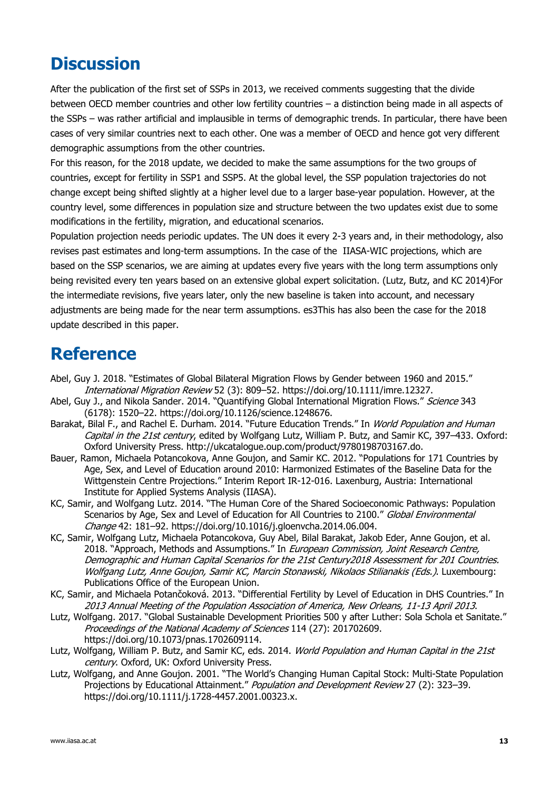### **Discussion**

After the publication of the first set of SSPs in 2013, we received comments suggesting that the divide between OECD member countries and other low fertility countries – a distinction being made in all aspects of the SSPs – was rather artificial and implausible in terms of demographic trends. In particular, there have been cases of very similar countries next to each other. One was a member of OECD and hence got very different demographic assumptions from the other countries.

For this reason, for the 2018 update, we decided to make the same assumptions for the two groups of countries, except for fertility in SSP1 and SSP5. At the global level, the SSP population trajectories do not change except being shifted slightly at a higher level due to a larger base-year population. However, at the country level, some differences in population size and structure between the two updates exist due to some modifications in the fertility, migration, and educational scenarios.

Population projection needs periodic updates. The UN does it every 2-3 years and, in their methodology, also revises past estimates and long-term assumptions. In the case of the IIASA-WIC projections, which are based on the SSP scenarios, we are aiming at updates every five years with the long term assumptions only being revisited every ten years based on an extensive global expert solicitation. (Lutz, Butz, and KC 2014)For the intermediate revisions, five years later, only the new baseline is taken into account, and necessary adjustments are being made for the near term assumptions. es3This has also been the case for the 2018 update described in this paper.

### **Reference**

- Abel, Guy J. 2018. "Estimates of Global Bilateral Migration Flows by Gender between 1960 and 2015." International Migration Review 52 (3): 809–52. https://doi.org/10.1111/imre.12327.
- Abel, Guy J., and Nikola Sander. 2014. "Quantifying Global International Migration Flows." Science 343 (6178): 1520–22. https://doi.org/10.1126/science.1248676.
- Barakat, Bilal F., and Rachel E. Durham. 2014. "Future Education Trends." In World Population and Human Capital in the 21st century, edited by Wolfgang Lutz, William P. Butz, and Samir KC, 397-433. Oxford: Oxford University Press. http://ukcatalogue.oup.com/product/9780198703167.do.
- Bauer, Ramon, Michaela Potancokova, Anne Goujon, and Samir KC. 2012. "Populations for 171 Countries by Age, Sex, and Level of Education around 2010: Harmonized Estimates of the Baseline Data for the Wittgenstein Centre Projections." Interim Report IR-12-016. Laxenburg, Austria: International Institute for Applied Systems Analysis (IIASA).
- KC, Samir, and Wolfgang Lutz. 2014. "The Human Core of the Shared Socioeconomic Pathways: Population Scenarios by Age, Sex and Level of Education for All Countries to 2100." Global Environmental Change 42: 181–92. https://doi.org/10.1016/j.gloenvcha.2014.06.004.
- KC, Samir, Wolfgang Lutz, Michaela Potancokova, Guy Abel, Bilal Barakat, Jakob Eder, Anne Goujon, et al. 2018. "Approach, Methods and Assumptions." In European Commission, Joint Research Centre, Demographic and Human Capital Scenarios for the 21st Century2018 Assessment for 201 Countries. Wolfgang Lutz, Anne Goujon, Samir KC, Marcin Stonawski, Nikolaos Stilianakis (Eds.). Luxembourg: Publications Office of the European Union.
- KC, Samir, and Michaela Potančoková. 2013. "Differential Fertility by Level of Education in DHS Countries." In 2013 Annual Meeting of the Population Association of America, New Orleans, 11-13 April 2013.
- Lutz, Wolfgang. 2017. "Global Sustainable Development Priorities 500 y after Luther: Sola Schola et Sanitate." Proceedings of the National Academy of Sciences 114 (27): 201702609. https://doi.org/10.1073/pnas.1702609114.
- Lutz, Wolfgang, William P. Butz, and Samir KC, eds. 2014. World Population and Human Capital in the 21st century. Oxford, UK: Oxford University Press.
- Lutz, Wolfgang, and Anne Goujon. 2001. "The World's Changing Human Capital Stock: Multi-State Population Projections by Educational Attainment." Population and Development Review 27 (2): 323–39. https://doi.org/10.1111/j.1728-4457.2001.00323.x.